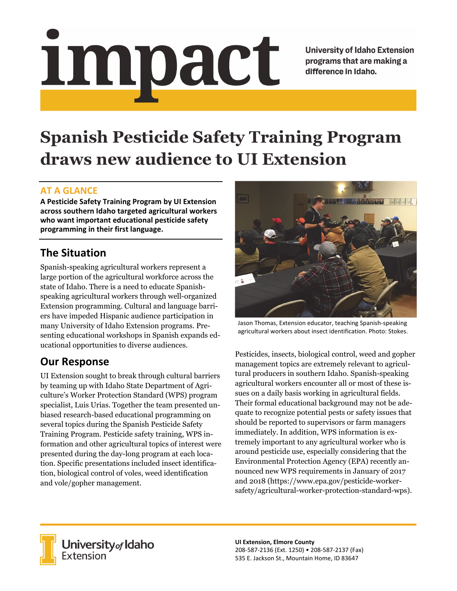# impact

**University of Idaho Extension** programs that are making a difference in Idaho.

# **Spanish Pesticide Safety Training Program draws new audience to UI Extension**

#### **AT A GLANCE**

**A Pesticide Safety Training Program by UI Extension across southern Idaho targeted agricultural workers who want important educational pesticide safety programming in their first language.**

# **The Situation**

Spanish-speaking agricultural workers represent a large portion of the agricultural workforce across the state of Idaho. There is a need to educate Spanishspeaking agricultural workers through well-organized Extension programming. Cultural and language barriers have impeded Hispanic audience participation in many University of Idaho Extension programs. Presenting educational workshops in Spanish expands educational opportunities to diverse audiences.

## **Our Response**

UI Extension sought to break through cultural barriers by teaming up with Idaho State Department of Agriculture's Worker Protection Standard (WPS) program specialist, Luis Urias. Together the team presented unbiased research-based educational programming on several topics during the Spanish Pesticide Safety Training Program. Pesticide safety training, WPS information and other agricultural topics of interest were presented during the day-long program at each location. Specific presentations included insect identification, biological control of voles, weed identification and vole/gopher management.



Jason Thomas, Extension educator, teaching Spanish‐speaking agricultural workers about insect identification. Photo: Stokes.

Pesticides, insects, biological control, weed and gopher management topics are extremely relevant to agricultural producers in southern Idaho. Spanish-speaking agricultural workers encounter all or most of these issues on a daily basis working in agricultural fields. Their formal educational background may not be adequate to recognize potential pests or safety issues that should be reported to supervisors or farm managers immediately. In addition, WPS information is extremely important to any agricultural worker who is around pesticide use, especially considering that the Environmental Protection Agency (EPA) recently announced new WPS requirements in January of 2017 and 2018 (https://www.epa.gov/pesticide-workersafety/agricultural-worker-protection-standard-wps).



**University** of Idaho<br>Extension

**UI Extension, Elmore County** 208‐587‐2136 (Ext. 1250) • 208‐587‐2137 (Fax) 535 E. Jackson St., Mountain Home, ID 83647